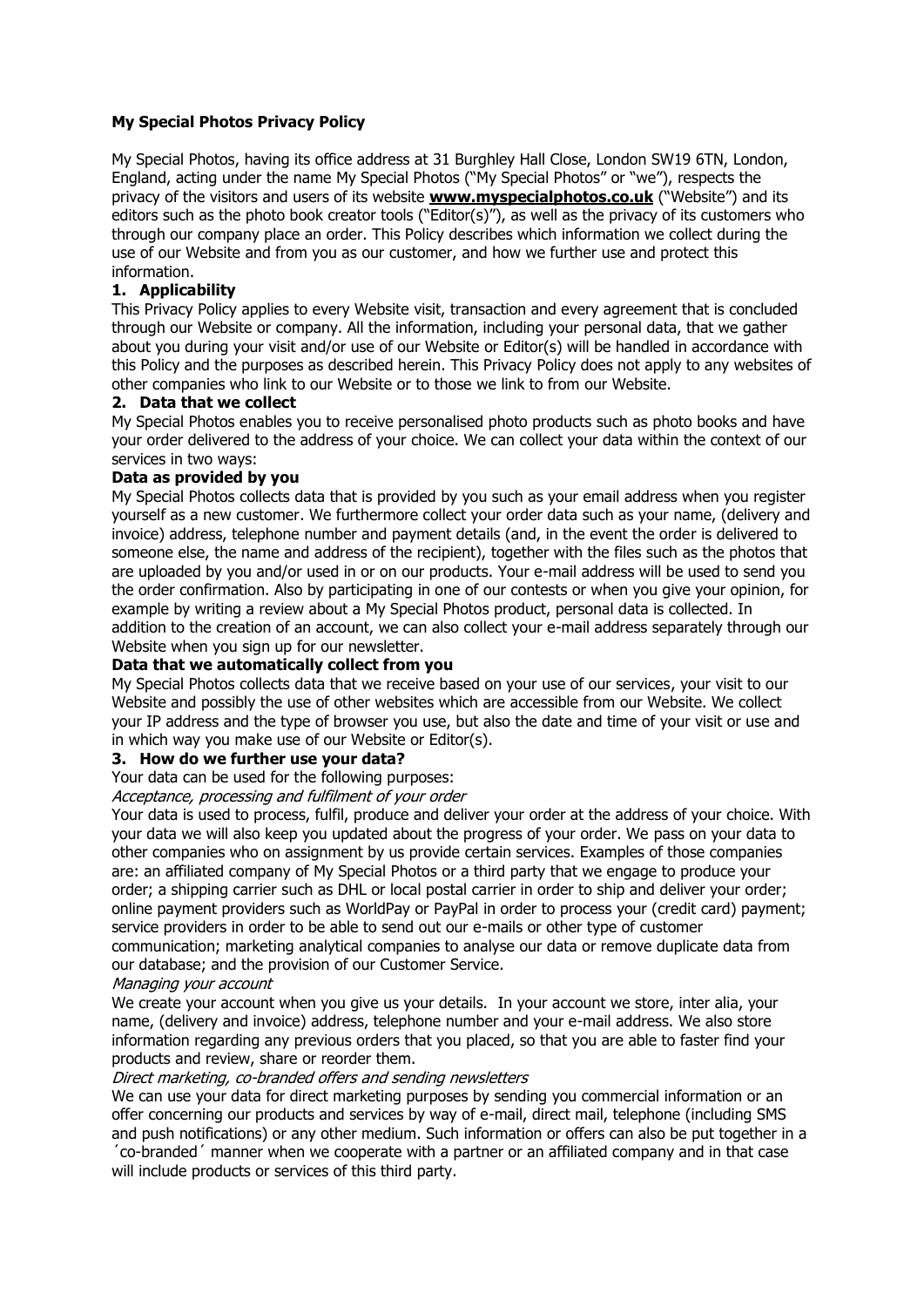# **My Special Photos Privacy Policy**

My Special Photos, having its office address at 31 Burghley Hall Close, London SW19 6TN, London, England, acting under the name My Special Photos ("My Special Photos" or "we"), respects the privacy of the visitors and users of its website **[www.myspecialphotos.co.uk](https://www.myspecialphotos.co.uk/)** ("Website") and its editors such as the photo book creator tools ("Editor(s)"), as well as the privacy of its customers who through our company place an order. This Policy describes which information we collect during the use of our Website and from you as our customer, and how we further use and protect this information.

# **1. Applicability**

This Privacy Policy applies to every Website visit, transaction and every agreement that is concluded through our Website or company. All the information, including your personal data, that we gather about you during your visit and/or use of our Website or Editor(s) will be handled in accordance with this Policy and the purposes as described herein. This Privacy Policy does not apply to any websites of other companies who link to our Website or to those we link to from our Website.

# **2. Data that we collect**

My Special Photos enables you to receive personalised photo products such as photo books and have your order delivered to the address of your choice. We can collect your data within the context of our services in two ways:

# **Data as provided by you**

My Special Photos collects data that is provided by you such as your email address when you register yourself as a new customer. We furthermore collect your order data such as your name, (delivery and invoice) address, telephone number and payment details (and, in the event the order is delivered to someone else, the name and address of the recipient), together with the files such as the photos that are uploaded by you and/or used in or on our products. Your e-mail address will be used to send you the order confirmation. Also by participating in one of our contests or when you give your opinion, for example by writing a review about a My Special Photos product, personal data is collected. In addition to the creation of an account, we can also collect your e-mail address separately through our Website when you sign up for our newsletter.

# **Data that we automatically collect from you**

My Special Photos collects data that we receive based on your use of our services, your visit to our Website and possibly the use of other websites which are accessible from our Website. We collect your IP address and the type of browser you use, but also the date and time of your visit or use and in which way you make use of our Website or Editor(s).

# **3. How do we further use your data?**

Your data can be used for the following purposes:

# Acceptance, processing and fulfilment of your order

Your data is used to process, fulfil, produce and deliver your order at the address of your choice. With your data we will also keep you updated about the progress of your order. We pass on your data to other companies who on assignment by us provide certain services. Examples of those companies are: an affiliated company of My Special Photos or a third party that we engage to produce your order; a shipping carrier such as DHL or local postal carrier in order to ship and deliver your order; online payment providers such as WorldPay or PayPal in order to process your (credit card) payment; service providers in order to be able to send out our e-mails or other type of customer communication; marketing analytical companies to analyse our data or remove duplicate data from our database; and the provision of our Customer Service.

#### Managing your account

We create your account when you give us your details. In your account we store, inter alia, your name, (delivery and invoice) address, telephone number and your e-mail address. We also store information regarding any previous orders that you placed, so that you are able to faster find your products and review, share or reorder them.

# Direct marketing, co-branded offers and sending newsletters

We can use your data for direct marketing purposes by sending you commercial information or an offer concerning our products and services by way of e-mail, direct mail, telephone (including SMS and push notifications) or any other medium. Such information or offers can also be put together in a ´co-branded´ manner when we cooperate with a partner or an affiliated company and in that case

will include products or services of this third party.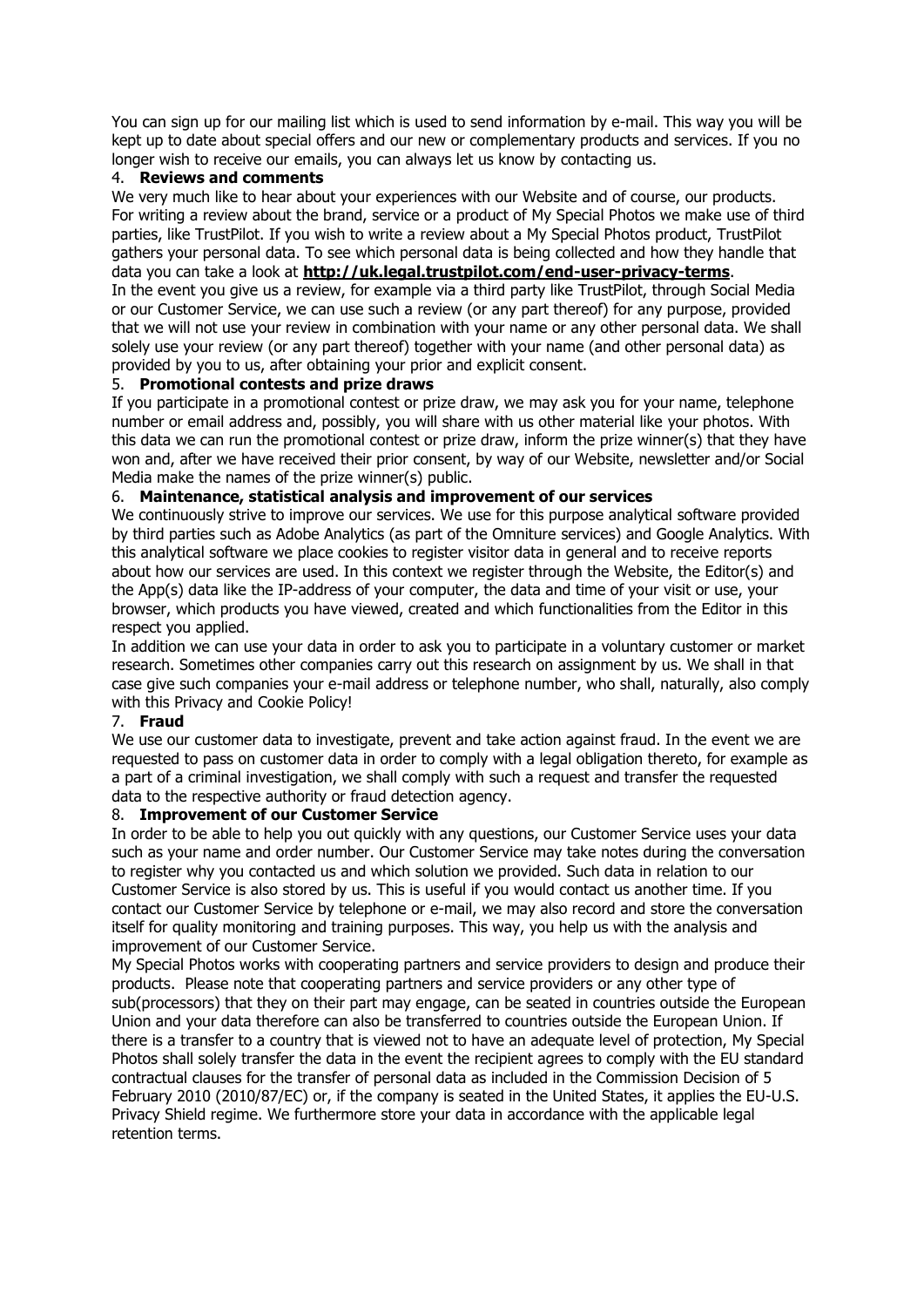You can sign up for our mailing list which is used to send information by e-mail. This way you will be kept up to date about special offers and our new or complementary products and services. If you no longer wish to receive our emails, you can always let us know by contacting us.

# 4. **Reviews and comments**

We very much like to hear about your experiences with our Website and of course, our products. For writing a review about the brand, service or a product of My Special Photos we make use of third parties, like TrustPilot. If you wish to write a review about a My Special Photos product, TrustPilot gathers your personal data. To see which personal data is being collected and how they handle that data you can take a look at **<http://uk.legal.trustpilot.com/end-user-privacy-terms>**. In the event you give us a review, for example via a third party like TrustPilot, through Social Media or our Customer Service, we can use such a review (or any part thereof) for any purpose, provided that we will not use your review in combination with your name or any other personal data. We shall solely use your review (or any part thereof) together with your name (and other personal data) as provided by you to us, after obtaining your prior and explicit consent.

# 5. **Promotional contests and prize draws**

If you participate in a promotional contest or prize draw, we may ask you for your name, telephone number or email address and, possibly, you will share with us other material like your photos. With this data we can run the promotional contest or prize draw, inform the prize winner(s) that they have won and, after we have received their prior consent, by way of our Website, newsletter and/or Social Media make the names of the prize winner(s) public.

# 6. **Maintenance, statistical analysis and improvement of our services**

We continuously strive to improve our services. We use for this purpose analytical software provided by third parties such as Adobe Analytics (as part of the Omniture services) and Google Analytics. With this analytical software we place cookies to register visitor data in general and to receive reports about how our services are used. In this context we register through the Website, the Editor(s) and the App(s) data like the IP-address of your computer, the data and time of your visit or use, your browser, which products you have viewed, created and which functionalities from the Editor in this respect you applied.

In addition we can use your data in order to ask you to participate in a voluntary customer or market research. Sometimes other companies carry out this research on assignment by us. We shall in that case give such companies your e-mail address or telephone number, who shall, naturally, also comply with this Privacy and Cookie Policy!

# 7. **Fraud**

We use our customer data to investigate, prevent and take action against fraud. In the event we are requested to pass on customer data in order to comply with a legal obligation thereto, for example as a part of a criminal investigation, we shall comply with such a request and transfer the requested data to the respective authority or fraud detection agency.

# 8. **Improvement of our Customer Service**

In order to be able to help you out quickly with any questions, our Customer Service uses your data such as your name and order number. Our Customer Service may take notes during the conversation to register why you contacted us and which solution we provided. Such data in relation to our Customer Service is also stored by us. This is useful if you would contact us another time. If you contact our Customer Service by telephone or e-mail, we may also record and store the conversation itself for quality monitoring and training purposes. This way, you help us with the analysis and improvement of our Customer Service.

My Special Photos works with cooperating partners and service providers to design and produce their products. Please note that cooperating partners and service providers or any other type of sub(processors) that they on their part may engage, can be seated in countries outside the European Union and your data therefore can also be transferred to countries outside the European Union. If there is a transfer to a country that is viewed not to have an adequate level of protection, My Special Photos shall solely transfer the data in the event the recipient agrees to comply with the EU standard contractual clauses for the transfer of personal data as included in the Commission Decision of 5 February 2010 (2010/87/EC) or, if the company is seated in the United States, it applies the EU-U.S. Privacy Shield regime. We furthermore store your data in accordance with the applicable legal retention terms.